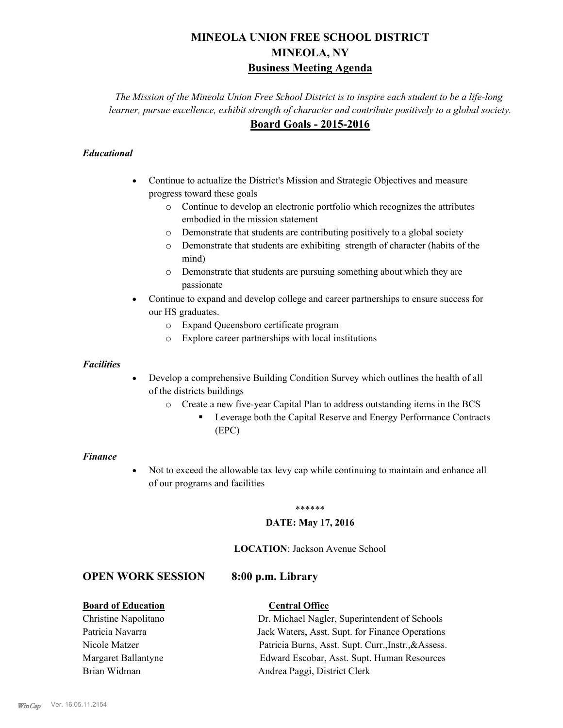# **MINEOLA UNION FREE SCHOOL DISTRICT MINEOLA, NY Business Meeting Agenda**

*The Mission of the Mineola Union Free School District is to inspire each student to be a life-long learner, pursue excellence, exhibit strength of character and contribute positively to a global society.* **Board Goals - 2015-2016**

### *Educational*

- · Continue to actualize the District's Mission and Strategic Objectives and measure progress toward these goals
	- o Continue to develop an electronic portfolio which recognizes the attributes embodied in the mission statement
	- o Demonstrate that students are contributing positively to a global society
	- o Demonstrate that students are exhibiting strength of character (habits of the mind)
	- o Demonstrate that students are pursuing something about which they are passionate
- Continue to expand and develop college and career partnerships to ensure success for our HS graduates.
	- o Expand Queensboro certificate program
	- o Explore career partnerships with local institutions

#### *Facilities*

- Develop a comprehensive Building Condition Survey which outlines the health of all of the districts buildings
	- o Create a new five-year Capital Plan to address outstanding items in the BCS
		- § Leverage both the Capital Reserve and Energy Performance Contracts (EPC)

#### *Finance*

• Not to exceed the allowable tax levy cap while continuing to maintain and enhance all of our programs and facilities

#### \*\*\*\*\*\*

#### **DATE: May 17, 2016**

#### **LOCATION**: Jackson Avenue School

## **OPEN WORK SESSION 8:00 p.m. Library**

#### **Board of Education Central Office**

Christine Napolitano Dr. Michael Nagler, Superintendent of Schools Patricia Navarra Jack Waters, Asst. Supt. for Finance Operations Nicole Matzer Patricia Burns, Asst. Supt. Curr.,Instr.,&Assess. Margaret Ballantyne Edward Escobar, Asst. Supt. Human Resources Brian Widman **Andrea Paggi, District Clerk**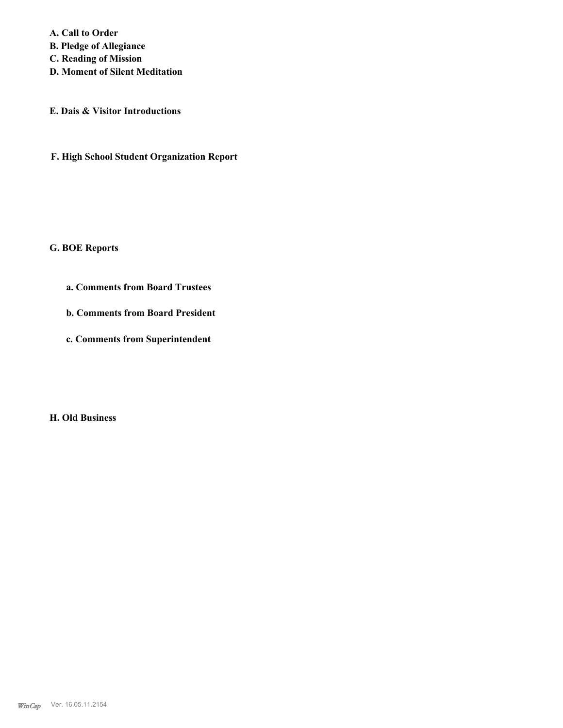**A. Call to Order B. Pledge of Allegiance C. Reading of Mission D. Moment of Silent Meditation**

**E. Dais & Visitor Introductions**

**F. High School Student Organization Report**

**G. BOE Reports**

**a. Comments from Board Trustees**

**b. Comments from Board President**

**c. Comments from Superintendent**

**H. Old Business**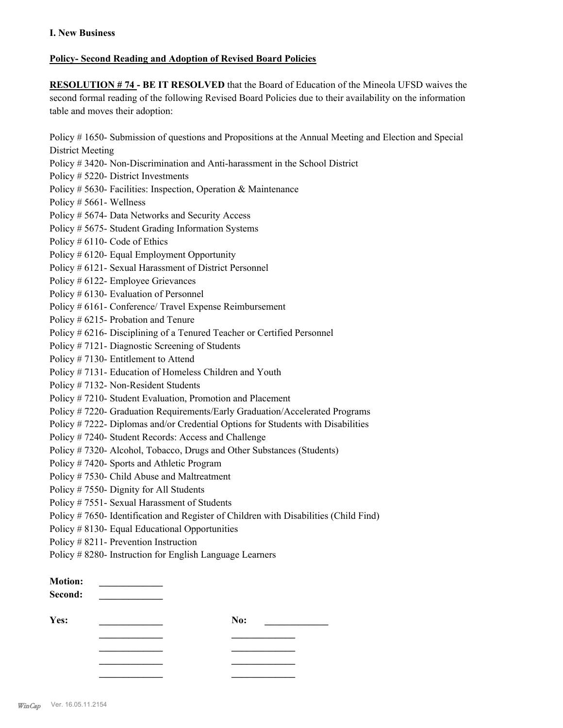#### **Policy- Second Reading and Adoption of Revised Board Policies**

**RESOLUTION # 74 - BE IT RESOLVED** that the Board of Education of the Mineola UFSD waives the second formal reading of the following Revised Board Policies due to their availability on the information table and moves their adoption:

Policy # 1650- Submission of questions and Propositions at the Annual Meeting and Election and Special District Meeting

- Policy # 3420- Non-Discrimination and Anti-harassment in the School District
- Policy # 5220- District Investments
- Policy # 5630- Facilities: Inspection, Operation & Maintenance
- Policy # 5661- Wellness
- Policy # 5674- Data Networks and Security Access
- Policy # 5675- Student Grading Information Systems
- Policy # 6110- Code of Ethics
- Policy # 6120- Equal Employment Opportunity
- Policy # 6121- Sexual Harassment of District Personnel
- Policy # 6122- Employee Grievances
- Policy # 6130- Evaluation of Personnel
- Policy # 6161- Conference/ Travel Expense Reimbursement
- Policy # 6215- Probation and Tenure
- Policy # 6216- Disciplining of a Tenured Teacher or Certified Personnel
- Policy # 7121- Diagnostic Screening of Students
- Policy # 7130- Entitlement to Attend
- Policy # 7131- Education of Homeless Children and Youth
- Policy # 7132- Non-Resident Students
- Policy # 7210- Student Evaluation, Promotion and Placement
- Policy # 7220- Graduation Requirements/Early Graduation/Accelerated Programs
- Policy # 7222- Diplomas and/or Credential Options for Students with Disabilities
- Policy # 7240- Student Records: Access and Challenge
- Policy # 7320- Alcohol, Tobacco, Drugs and Other Substances (Students)
- Policy # 7420- Sports and Athletic Program
- Policy # 7530- Child Abuse and Maltreatment
- Policy # 7550- Dignity for All Students
- Policy # 7551- Sexual Harassment of Students
- Policy # 7650- Identification and Register of Children with Disabilities (Child Find)
- Policy # 8130- Equal Educational Opportunities
- Policy # 8211- Prevention Instruction
- Policy # 8280- Instruction for English Language Learners

| <b>Motion:</b><br>Second: |     |  |
|---------------------------|-----|--|
| Yes:                      | No: |  |
|                           |     |  |
|                           |     |  |
|                           |     |  |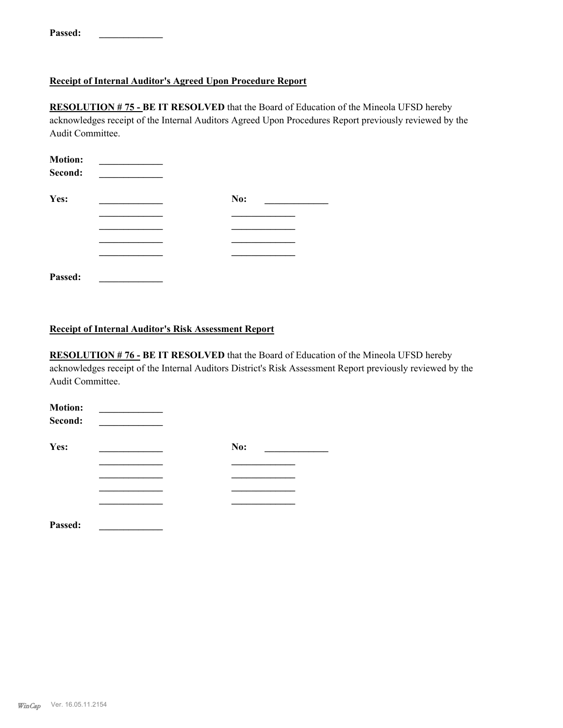**Passed: \_\_\_\_\_\_\_\_\_\_\_\_\_**

### **Receipt of Internal Auditor's Agreed Upon Procedure Report**

**RESOLUTION # 75 - BE IT RESOLVED** that the Board of Education of the Mineola UFSD hereby acknowledges receipt of the Internal Auditors Agreed Upon Procedures Report previously reviewed by the Audit Committee.

| <b>Motion:</b><br>Second: |     |  |
|---------------------------|-----|--|
| Yes:                      | No: |  |
|                           |     |  |
|                           |     |  |
|                           |     |  |
|                           |     |  |
| Passed:                   |     |  |

### **Receipt of Internal Auditor's Risk Assessment Report**

**RESOLUTION # 76 - BE IT RESOLVED** that the Board of Education of the Mineola UFSD hereby acknowledges receipt of the Internal Auditors District's Risk Assessment Report previously reviewed by the Audit Committee.

| <b>Motion:</b><br>Second: |     |
|---------------------------|-----|
| Yes:                      | No: |
|                           |     |
|                           |     |
|                           |     |
|                           |     |
| Passed:                   |     |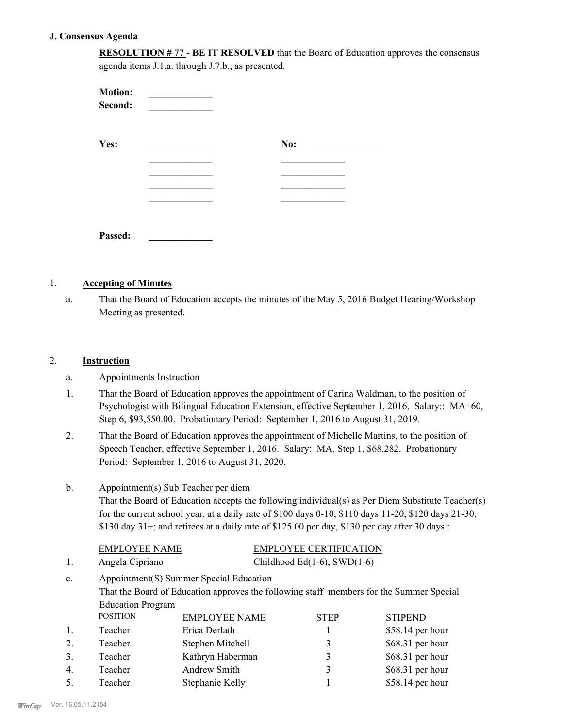#### **J. Consensus Agenda**

**RESOLUTION # 77 - BE IT RESOLVED** that the Board of Education approves the consensus agenda items J.1.a. through J.7.b., as presented.

| <b>Motion:</b><br>Second: |     |
|---------------------------|-----|
| Yes:                      | No: |
|                           |     |
|                           |     |
|                           |     |
|                           |     |
| Passed:                   |     |

#### 1. **Accepting of Minutes**

That the Board of Education accepts the minutes of the May 5, 2016 Budget Hearing/Workshop Meeting as presented. a.

#### 2. **Instruction**

- a. Appointments Instruction
- That the Board of Education approves the appointment of Carina Waldman, to the position of Psychologist with Bilingual Education Extension, effective September 1, 2016. Salary:: MA+60, Step 6, \$93,550.00. Probationary Period: September 1, 2016 to August 31, 2019. 1.
- That the Board of Education approves the appointment of Michelle Martins, to the position of Speech Teacher, effective September 1, 2016. Salary: MA, Step 1, \$68,282. Probationary Period: September 1, 2016 to August 31, 2020. 2.

#### Appointment(s) Sub Teacher per diem b.

That the Board of Education accepts the following individual(s) as Per Diem Substitute Teacher(s) for the current school year, at a daily rate of  $$100$  days  $0-10$ ,  $$110$  days  $11-20$ ,  $$120$  days  $21-30$ , \$130 day 31+; and retirees at a daily rate of \$125.00 per day, \$130 per day after 30 days.:

| EMPLOYEE NAME   | <b>EMPLOYEE CERTIFICATION</b>      |
|-----------------|------------------------------------|
| Angela Cipriano | Childhood Ed $(1-6)$ , SWD $(1-6)$ |

#### Appointment(S) Summer Special Education That the Board of Education approves the following staff members for the Summer Special Education Program c. POSITION EMPLOYEE NAME STEP STIPEND<br>Teacher Frica Derlath 1 \$58.14 per 1 Teacher Erica Derlath 1 \$58.14 per hour

|    | T Cachci | ыка ренаш        |                      | $QU(1)$ and $QU(1)$ |
|----|----------|------------------|----------------------|---------------------|
|    | Teacher  | Stephen Mitchell | $\blacktriangleleft$ | $$68.31$ per hour   |
|    | Teacher  | Kathryn Haberman | $\blacktriangleleft$ | $$68.31$ per hour   |
| 4. | Teacher  | Andrew Smith     |                      | $$68.31$ per hour   |
| 5. | Teacher  | Stephanie Kelly  |                      | $$58.14$ per hour   |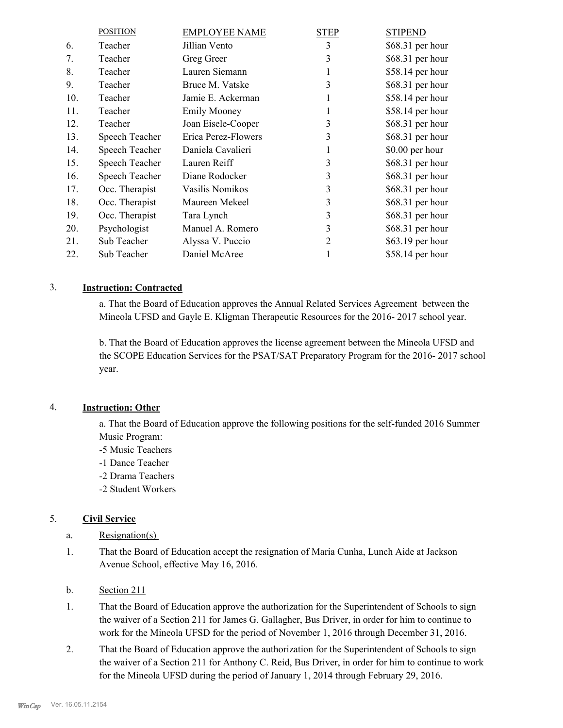|     | <b>POSITION</b> | <b>EMPLOYEE NAME</b> | <b>STEP</b> | <b>STIPEND</b>    |
|-----|-----------------|----------------------|-------------|-------------------|
| 6.  | Teacher         | Jillian Vento        | 3           | \$68.31 per hour  |
| 7.  | Teacher         | Greg Greer           | 3           | $$68.31$ per hour |
| 8.  | Teacher         | Lauren Siemann       | 1           | \$58.14 per hour  |
| 9.  | Teacher         | Bruce M. Vatske      | 3           | \$68.31 per hour  |
| 10. | Teacher         | Jamie E. Ackerman    | 1           | \$58.14 per hour  |
| 11. | Teacher         | <b>Emily Mooney</b>  |             | \$58.14 per hour  |
| 12. | Teacher         | Joan Eisele-Cooper   | 3           | $$68.31$ per hour |
| 13. | Speech Teacher  | Erica Perez-Flowers  | 3           | \$68.31 per hour  |
| 14. | Speech Teacher  | Daniela Cavalieri    | 1           | \$0.00 per hour   |
| 15. | Speech Teacher  | Lauren Reiff         | 3           | $$68.31$ per hour |
| 16. | Speech Teacher  | Diane Rodocker       | 3           | \$68.31 per hour  |
| 17. | Occ. Therapist  | Vasilis Nomikos      | 3           | $$68.31$ per hour |
| 18. | Occ. Therapist  | Maureen Mekeel       | 3           | $$68.31$ per hour |
| 19. | Occ. Therapist  | Tara Lynch           | 3           | $$68.31$ per hour |
| 20. | Psychologist    | Manuel A. Romero     | 3           | \$68.31 per hour  |
| 21. | Sub Teacher     | Alyssa V. Puccio     | 2           | \$63.19 per hour  |
| 22. | Sub Teacher     | Daniel McAree        |             | \$58.14 per hour  |

## 3. **Instruction: Contracted**

a. That the Board of Education approves the Annual Related Services Agreement between the Mineola UFSD and Gayle E. Kligman Therapeutic Resources for the 2016- 2017 school year.

b. That the Board of Education approves the license agreement between the Mineola UFSD and the SCOPE Education Services for the PSAT/SAT Preparatory Program for the 2016- 2017 school year.

#### 4. **Instruction: Other**

a. That the Board of Education approve the following positions for the self-funded 2016 Summer Music Program:

- -5 Music Teachers
- -1 Dance Teacher
- -2 Drama Teachers
- -2 Student Workers

#### 5. **Civil Service**

- a. Resignation(s)
- That the Board of Education accept the resignation of Maria Cunha, Lunch Aide at Jackson Avenue School, effective May 16, 2016. 1.
- b. Section 211
- That the Board of Education approve the authorization for the Superintendent of Schools to sign the waiver of a Section 211 for James G. Gallagher, Bus Driver, in order for him to continue to work for the Mineola UFSD for the period of November 1, 2016 through December 31, 2016. 1.
- That the Board of Education approve the authorization for the Superintendent of Schools to sign the waiver of a Section 211 for Anthony C. Reid, Bus Driver, in order for him to continue to work for the Mineola UFSD during the period of January 1, 2014 through February 29, 2016. 2.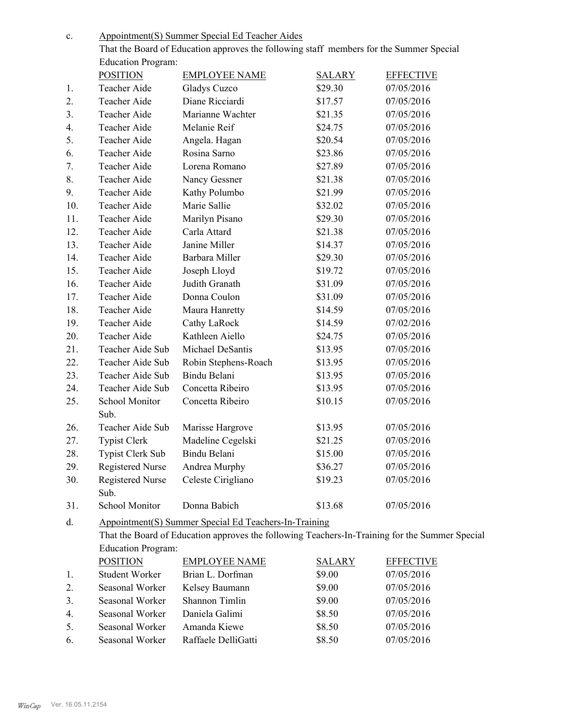Appointment(S) Summer Special Ed Teacher Aides c.

That the Board of Education approves the following staff members for the Summer Special Education Program:

|                | <b>POSITION</b>           | <b>EMPLOYEE NAME</b>                                                                           | <b>SALARY</b> | <b>EFFECTIVE</b> |
|----------------|---------------------------|------------------------------------------------------------------------------------------------|---------------|------------------|
| 1.             | Teacher Aide              | Gladys Cuzco                                                                                   | \$29.30       | 07/05/2016       |
| 2.             | Teacher Aide              | Diane Ricciardi                                                                                | \$17.57       | 07/05/2016       |
| 3 <sub>1</sub> | Teacher Aide              | Marianne Wachter                                                                               | \$21.35       | 07/05/2016       |
| 4.             | Teacher Aide              | Melanie Reif                                                                                   | \$24.75       | 07/05/2016       |
| 5.             | Teacher Aide              | Angela. Hagan                                                                                  | \$20.54       | 07/05/2016       |
| 6.             | Teacher Aide              | Rosina Sarno                                                                                   | \$23.86       | 07/05/2016       |
| 7.             | Teacher Aide              | Lorena Romano                                                                                  | \$27.89       | 07/05/2016       |
| 8.             | Teacher Aide              | Nancy Gessner                                                                                  | \$21.38       | 07/05/2016       |
| 9.             | Teacher Aide              | Kathy Polumbo                                                                                  | \$21.99       | 07/05/2016       |
| 10.            | Teacher Aide              | Marie Sallie                                                                                   | \$32.02       | 07/05/2016       |
| 11.            | Teacher Aide              | Marilyn Pisano                                                                                 | \$29.30       | 07/05/2016       |
| 12.            | Teacher Aide              | Carla Attard                                                                                   | \$21.38       | 07/05/2016       |
| 13.            | Teacher Aide              | Janine Miller                                                                                  | \$14.37       | 07/05/2016       |
| 14.            | Teacher Aide              | Barbara Miller                                                                                 | \$29.30       | 07/05/2016       |
| 15.            | Teacher Aide              | Joseph Lloyd                                                                                   | \$19.72       | 07/05/2016       |
| 16.            | Teacher Aide              | Judith Granath                                                                                 | \$31.09       | 07/05/2016       |
| 17.            | Teacher Aide              | Donna Coulon                                                                                   | \$31.09       | 07/05/2016       |
| 18.            | Teacher Aide              | Maura Hanretty                                                                                 | \$14.59       | 07/05/2016       |
| 19.            | Teacher Aide              | Cathy LaRock                                                                                   | \$14.59       | 07/02/2016       |
| 20.            | Teacher Aide              | Kathleen Aiello                                                                                | \$24.75       | 07/05/2016       |
| 21.            | Teacher Aide Sub          | Michael DeSantis                                                                               | \$13.95       | 07/05/2016       |
| 22.            | Teacher Aide Sub          | Robin Stephens-Roach                                                                           | \$13.95       | 07/05/2016       |
| 23.            | Teacher Aide Sub          | Bindu Belani                                                                                   | \$13.95       | 07/05/2016       |
| 24.            | Teacher Aide Sub          | Concetta Ribeiro                                                                               | \$13.95       | 07/05/2016       |
| 25.            | School Monitor            | Concetta Ribeiro                                                                               | \$10.15       | 07/05/2016       |
|                | Sub.                      |                                                                                                |               |                  |
| 26.            | Teacher Aide Sub          | Marisse Hargrove                                                                               | \$13.95       | 07/05/2016       |
| 27.            | <b>Typist Clerk</b>       | Madeline Cegelski                                                                              | \$21.25       | 07/05/2016       |
| 28.            | Typist Clerk Sub          | Bindu Belani                                                                                   | \$15.00       | 07/05/2016       |
| 29.            | <b>Registered Nurse</b>   | Andrea Murphy                                                                                  | \$36.27       | 07/05/2016       |
| 30.            | <b>Registered Nurse</b>   | Celeste Cirigliano                                                                             | \$19.23       | 07/05/2016       |
|                | Sub.                      |                                                                                                |               |                  |
| 31.            | School Monitor            | Donna Babich                                                                                   | \$13.68       | 07/05/2016       |
| d.             |                           | Appointment(S) Summer Special Ed Teachers-In-Training                                          |               |                  |
|                |                           | That the Board of Education approves the following Teachers-In-Training for the Summer Special |               |                  |
|                | <b>Education Program:</b> |                                                                                                |               |                  |
|                | <b>POSITION</b>           | <b>EMPLOYEE NAME</b>                                                                           | <b>SALARY</b> | <b>EFFECTIVE</b> |
| 1.             | Student Worker            | Brian L. Dorfman                                                                               | \$9.00        | 07/05/2016       |
|                |                           |                                                                                                |               |                  |

| 2. | Seasonal Worker | Kelsey Baumann        | \$9.00 | 07/05/2016 |
|----|-----------------|-----------------------|--------|------------|
| 3. | Seasonal Worker | <b>Shannon</b> Timlin | \$9.00 | 07/05/2016 |
| 4  | Seasonal Worker | Daniela Galimi        | \$8.50 | 07/05/2016 |
| 5. | Seasonal Worker | Amanda Kiewe          | \$8.50 | 07/05/2016 |
| 6. | Seasonal Worker | Raffaele DelliGatti   | \$8.50 | 07/05/2016 |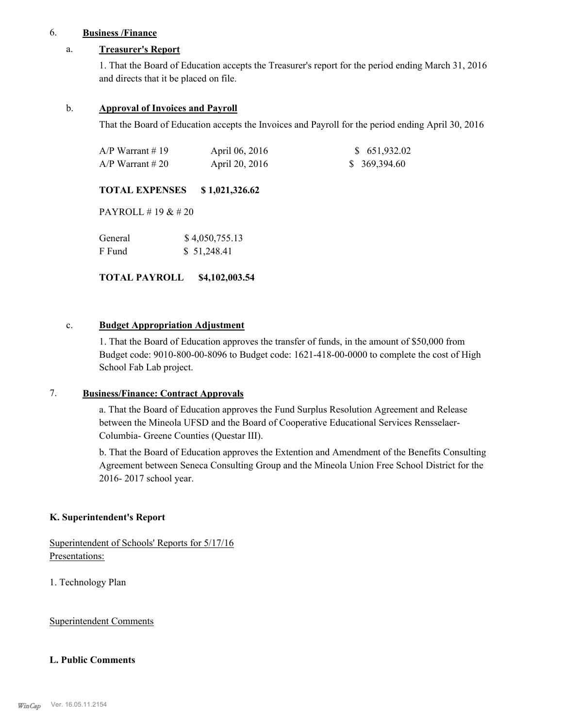### 6. **Business /Finance**

#### a. **Treasurer's Report**

1. That the Board of Education accepts the Treasurer's report for the period ending March 31, 2016 and directs that it be placed on file.

#### b. **Approval of Invoices and Payroll**

That the Board of Education accepts the Invoices and Payroll for the period ending April 30, 2016

| A/P Warrant # 19 | April 06, 2016 | \$ 651,932.02 |
|------------------|----------------|---------------|
| A/P Warrant # 20 | April 20, 2016 | \$369,394.60  |

#### **TOTAL EXPENSES \$ 1,021,326.62**

PAYROLL # 19 & # 20

| General | \$4,050,755.13 |
|---------|----------------|
| F Fund  | \$51,248.41    |

**TOTAL PAYROLL \$4,102,003.54**

#### c. **Budget Appropriation Adjustment**

1. That the Board of Education approves the transfer of funds, in the amount of \$50,000 from Budget code: 9010-800-00-8096 to Budget code: 1621-418-00-0000 to complete the cost of High School Fab Lab project.

#### 7. **Business/Finance: Contract Approvals**

a. That the Board of Education approves the Fund Surplus Resolution Agreement and Release between the Mineola UFSD and the Board of Cooperative Educational Services Rensselaer-Columbia- Greene Counties (Questar III).

b. That the Board of Education approves the Extention and Amendment of the Benefits Consulting Agreement between Seneca Consulting Group and the Mineola Union Free School District for the 2016- 2017 school year.

#### **K. Superintendent's Report**

Superintendent of Schools' Reports for 5/17/16 Presentations:

1. Technology Plan

Superintendent Comments

#### **L. Public Comments**